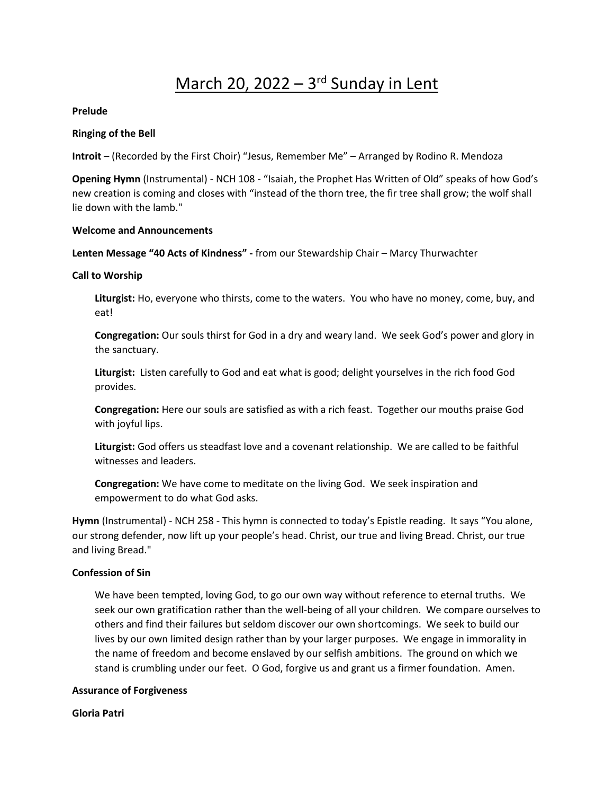# March 20, 2022 – 3<sup>rd</sup> Sunday in Lent

## **Prelude**

## **Ringing of the Bell**

**Introit** – (Recorded by the First Choir) "Jesus, Remember Me" – Arranged by Rodino R. Mendoza

**Opening Hymn** (Instrumental) - NCH 108 - "Isaiah, the Prophet Has Written of Old" speaks of how God's new creation is coming and closes with "instead of the thorn tree, the fir tree shall grow; the wolf shall lie down with the lamb."

#### **Welcome and Announcements**

**Lenten Message "40 Acts of Kindness" -** from our Stewardship Chair – Marcy Thurwachter

#### **Call to Worship**

**Liturgist:** Ho, everyone who thirsts, come to the waters. You who have no money, come, buy, and eat!

**Congregation:** Our souls thirst for God in a dry and weary land. We seek God's power and glory in the sanctuary.

**Liturgist:** Listen carefully to God and eat what is good; delight yourselves in the rich food God provides.

**Congregation:** Here our souls are satisfied as with a rich feast. Together our mouths praise God with joyful lips.

**Liturgist:** God offers us steadfast love and a covenant relationship. We are called to be faithful witnesses and leaders.

**Congregation:** We have come to meditate on the living God. We seek inspiration and empowerment to do what God asks.

**Hymn** (Instrumental) - NCH 258 - This hymn is connected to today's Epistle reading. It says "You alone, our strong defender, now lift up your people's head. Christ, our true and living Bread. Christ, our true and living Bread."

#### **Confession of Sin**

We have been tempted, loving God, to go our own way without reference to eternal truths. We seek our own gratification rather than the well-being of all your children. We compare ourselves to others and find their failures but seldom discover our own shortcomings. We seek to build our lives by our own limited design rather than by your larger purposes. We engage in immorality in the name of freedom and become enslaved by our selfish ambitions. The ground on which we stand is crumbling under our feet. O God, forgive us and grant us a firmer foundation. Amen.

#### **Assurance of Forgiveness**

#### **Gloria Patri**